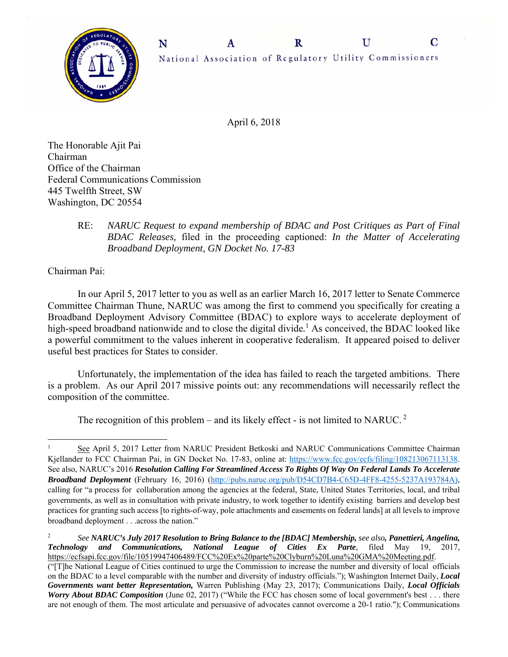



April 6, 2018

The Honorable Ajit Pai Chairman Office of the Chairman Federal Communications Commission 445 Twelfth Street, SW Washington, DC 20554

> RE: *NARUC Request to expand membership of BDAC and Post Critiques as Part of Final BDAC Releases,* filed in the proceeding captioned: *In the Matter of Accelerating Broadband Deployment, GN Docket No. 17-83*

Chairman Pai:

 In our April 5, 2017 letter to you as well as an earlier March 16, 2017 letter to Senate Commerce Committee Chairman Thune, NARUC was among the first to commend you specifically for creating a Broadband Deployment Advisory Committee (BDAC) to explore ways to accelerate deployment of high-speed broadband nationwide and to close the digital divide*.* <sup>1</sup> As conceived, the BDAC looked like a powerful commitment to the values inherent in cooperative federalism. It appeared poised to deliver useful best practices for States to consider.

Unfortunately, the implementation of the idea has failed to reach the targeted ambitions. There is a problem. As our April 2017 missive points out: any recommendations will necessarily reflect the composition of the committee.

The recognition of this problem – and its likely effect - is not limited to NARUC.<sup>2</sup>

2  *See NARUC's July 2017 Resolution to Bring Balance to the [BDAC] Membership, see also, Panettieri, Angelina, Technology and Communications, National League of Cities Ex Parte*, filed May 19, 2017, https://ecfsapi.fcc.gov/file/10519947406489/FCC%20Ex%20parte%20Clyburn%20Luna%20GMA%20Meeting.pdf. ("[T]he National League of Cities continued to urge the Commission to increase the number and diversity of local officials on the BDAC to a level comparable with the number and diversity of industry officials."); Washington Internet Daily, *Local Governments want better Representation,* Warren Publishing (May 23, 2017); Communications Daily, *Local Officials Worry About BDAC Composition* (June 02, 2017) ("While the FCC has chosen some of local government's best . . . there are not enough of them. The most articulate and persuasive of advocates cannot overcome a 20-1 ratio."); Communications

 1 See April 5, 2017 Letter from NARUC President Betkoski and NARUC Communications Committee Chairman Kjellander to FCC Chairman Pai, in GN Docket No. 17-83, online at: https://www.fcc.gov/ecfs/filing/108213067113138. See also, NARUC's 2016 *Resolution Calling For Streamlined Access To Rights Of Way On Federal Lands To Accelerate Broadband Deployment* (February 16, 2016) (http://pubs.naruc.org/pub/D54CD7B4-C65D-4FF8-4255-5237A193784A), calling for "a process for collaboration among the agencies at the federal, State, United States Territories, local, and tribal governments, as well as in consultation with private industry, to work together to identify existing barriers and develop best practices for granting such access [to rights-of-way, pole attachments and easements on federal lands] at all levels to improve broadband deployment . . .across the nation."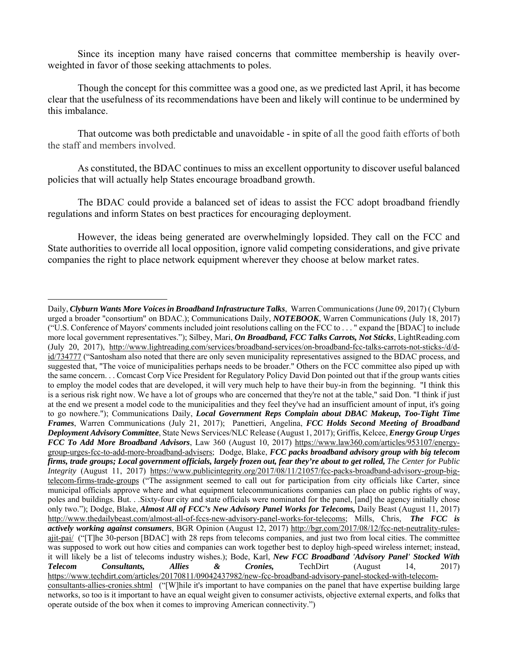Since its inception many have raised concerns that committee membership is heavily overweighted in favor of those seeking attachments to poles.

Though the concept for this committee was a good one, as we predicted last April, it has become clear that the usefulness of its recommendations have been and likely will continue to be undermined by this imbalance.

That outcome was both predictable and unavoidable - in spite of all the good faith efforts of both the staff and members involved.

As constituted, the BDAC continues to miss an excellent opportunity to discover useful balanced policies that will actually help States encourage broadband growth.

The BDAC could provide a balanced set of ideas to assist the FCC adopt broadband friendly regulations and inform States on best practices for encouraging deployment.

However, the ideas being generated are overwhelmingly lopsided. They call on the FCC and State authorities to override all local opposition, ignore valid competing considerations, and give private companies the right to place network equipment wherever they choose at below market rates.

Daily, *Clyburn Wants More Voices in Broadband Infrastructure Talks*, Warren Communications (June 09, 2017) ( Clyburn urged a broader "consortium" on BDAC.); Communications Daily, *NOTEBOOK*, Warren Communications (July 18, 2017) ("U.S. Conference of Mayors' comments included joint resolutions calling on the FCC to . . . " expand the [BDAC] to include more local government representatives."); Silbey, Mari, *On Broadband, FCC Talks Carrots, Not Sticks*, LightReading.com (July 20, 2017), http://www.lightreading.com/services/broadband-services/on-broadband-fcc-talks-carrots-not-sticks-/d/did/734777 ("Santosham also noted that there are only seven municipality representatives assigned to the BDAC process, and suggested that, "The voice of municipalities perhaps needs to be broader." Others on the FCC committee also piped up with the same concern. . . Comcast Corp Vice President for Regulatory Policy David Don pointed out that if the group wants cities to employ the model codes that are developed, it will very much help to have their buy-in from the beginning. "I think this is a serious risk right now. We have a lot of groups who are concerned that they're not at the table," said Don. "I think if just at the end we present a model code to the municipalities and they feel they've had an insufficient amount of input, it's going to go nowhere."); Communications Daily, *Local Government Reps Complain about DBAC Makeup, Too-Tight Time Frames*, Warren Communications (July 21, 2017); Panettieri, Angelina, *FCC Holds Second Meeting of Broadband Deployment Advisory Committee*, State News Services/NLC Release (August 1, 2017); Griffis, Kelcee, *Energy Group Urges FCC To Add More Broadband Advisors*, Law 360 (August 10, 2017) https://www.law360.com/articles/953107/energygroup-urges-fcc-to-add-more-broadband-advisers; Dodge, Blake, *FCC packs broadband advisory group with big telecom firms, trade groups; Local government officials, largely frozen out, fear they're about to get rolled, The Center for Public Integrity* (August 11, 2017) https://www.publicintegrity.org/2017/08/11/21057/fcc-packs-broadband-advisory-group-bigtelecom-firms-trade-groups ("The assignment seemed to call out for participation from city officials like Carter, since municipal officials approve where and what equipment telecommunications companies can place on public rights of way, poles and buildings. But. . .Sixty-four city and state officials were nominated for the panel, [and] the agency initially chose only two."); Dodge, Blake, *Almost All of FCC's New Advisory Panel Works for Telecoms,* Daily Beast (August 11, 2017) http://www.thedailybeast.com/almost-all-of-fccs-new-advisory-panel-works-for-telecoms; Mills, Chris, *The FCC is actively working against consumers*, BGR Opinion (August 12, 2017) http://bgr.com/2017/08/12/fcc-net-neutrality-rulesajit-pai/ ("[T]he 30-person [BDAC] with 28 reps from telecoms companies, and just two from local cities. The committee was supposed to work out how cities and companies can work together best to deploy high-speed wireless internet; instead, it will likely be a list of telecoms industry wishes.); Bode, Karl, *New FCC Broadband 'Advisory Panel' Stocked With Telecom Consultants, Allies & Cronies,* TechDirt (August 14, 2017) https://www.techdirt.com/articles/20170811/09042437982/new-fcc-broadband-advisory-panel-stocked-with-telecomconsultants-allies-cronies.shtml ("[W]hile it's important to have companies on the panel that have expertise building large networks, so too is it important to have an equal weight given to consumer activists, objective external experts, and folks that operate outside of the box when it comes to improving American connectivity.")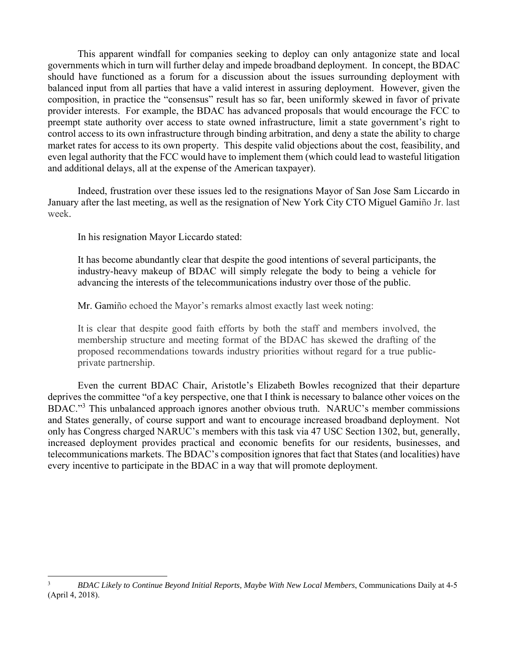This apparent windfall for companies seeking to deploy can only antagonize state and local governments which in turn will further delay and impede broadband deployment. In concept, the BDAC should have functioned as a forum for a discussion about the issues surrounding deployment with balanced input from all parties that have a valid interest in assuring deployment. However, given the composition, in practice the "consensus" result has so far, been uniformly skewed in favor of private provider interests. For example, the BDAC has advanced proposals that would encourage the FCC to preempt state authority over access to state owned infrastructure, limit a state government's right to control access to its own infrastructure through binding arbitration, and deny a state the ability to charge market rates for access to its own property. This despite valid objections about the cost, feasibility, and even legal authority that the FCC would have to implement them (which could lead to wasteful litigation and additional delays, all at the expense of the American taxpayer).

Indeed, frustration over these issues led to the resignations Mayor of San Jose Sam Liccardo in January after the last meeting, as well as the resignation of New York City CTO Miguel Gamiño Jr. last week.

In his resignation Mayor Liccardo stated:

It has become abundantly clear that despite the good intentions of several participants, the industry-heavy makeup of BDAC will simply relegate the body to being a vehicle for advancing the interests of the telecommunications industry over those of the public.

Mr. Gamiño echoed the Mayor's remarks almost exactly last week noting:

It is clear that despite good faith efforts by both the staff and members involved, the membership structure and meeting format of the BDAC has skewed the drafting of the proposed recommendations towards industry priorities without regard for a true publicprivate partnership.

Even the current BDAC Chair, Aristotle's Elizabeth Bowles recognized that their departure deprives the committee "of a key perspective, one that I think is necessary to balance other voices on the BDAC."<sup>3</sup> This unbalanced approach ignores another obvious truth. NARUC's member commissions and States generally, of course support and want to encourage increased broadband deployment. Not only has Congress charged NARUC's members with this task via 47 USC Section 1302, but, generally, increased deployment provides practical and economic benefits for our residents, businesses, and telecommunications markets. The BDAC's composition ignores that fact that States (and localities) have every incentive to participate in the BDAC in a way that will promote deployment.

 3 *BDAC Likely to Continue Beyond Initial Reports, Maybe With New Local Members*, Communications Daily at 4-5 (April 4, 2018).